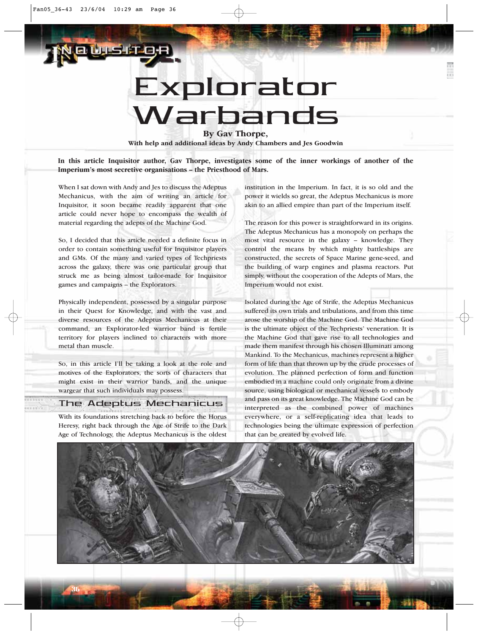# Explorator Warbands

**By Gav Thorpe,**

**With help and additional ideas by Andy Chambers and Jes Goodwin**

**In this article Inquisitor author, Gav Thorpe, investigates some of the inner workings of another of the Imperium's most secretive organisations – the Priesthood of Mars.**

When I sat down with Andy and Jes to discuss the Adeptus Mechanicus, with the aim of writing an article for Inquisitor, it soon became readily apparent that one article could never hope to encompass the wealth of material regarding the adepts of the Machine God.

So, I decided that this article needed a definite focus in order to contain something useful for Inquisitor players and GMs. Of the many and varied types of Techpriests across the galaxy, there was one particular group that struck me as being almost tailor-made for Inquisitor games and campaigns – the Explorators.

Physically independent, possessed by a singular purpose in their Quest for Knowledge, and with the vast and diverse resources of the Adeptus Mechanicus at their command, an Explorator-led warrior band is fertile territory for players inclined to characters with more metal than muscle.

So, in this article I'll be taking a look at the role and motives of the Explorators, the sorts of characters that might exist in their warrior bands, and the unique wargear that such individuals may possess.

## The Adeptus Mechanicus

With its foundations stretching back to before the Horus Heresy, right back through the Age of Strife to the Dark Age of Technology, the Adeptus Mechanicus is the oldest

36

institution in the Imperium. In fact, it is so old and the power it wields so great, the Adeptus Mechanicus is more akin to an allied empire than part of the Imperium itself.

The reason for this power is straightforward in its origins. The Adeptus Mechanicus has a monopoly on perhaps the most vital resource in the galaxy – knowledge. They control the means by which mighty battleships are constructed, the secrets of Space Marine gene-seed, and the building of warp engines and plasma reactors. Put simply, without the cooperation of the Adepts of Mars, the Imperium would not exist.

Isolated during the Age of Strife, the Adeptus Mechanicus suffered its own trials and tribulations, and from this time arose the worship of the Machine God. The Machine God is the ultimate object of the Techpriests' veneration. It is the Machine God that gave rise to all technologies and made them manifest through his chosen Illuminati among Mankind. To the Mechanicus, machines represent a higher form of life than that thrown up by the crude processes of evolution. The planned perfection of form and function embodied in a machine could only originate from a divine source, using biological or mechanical vessels to embody and pass on its great knowledge. The Machine God can be interpreted as the combined power of machines everywhere, or a self-replicating idea that leads to technologies being the ultimate expression of perfection that can be created by evolved life.

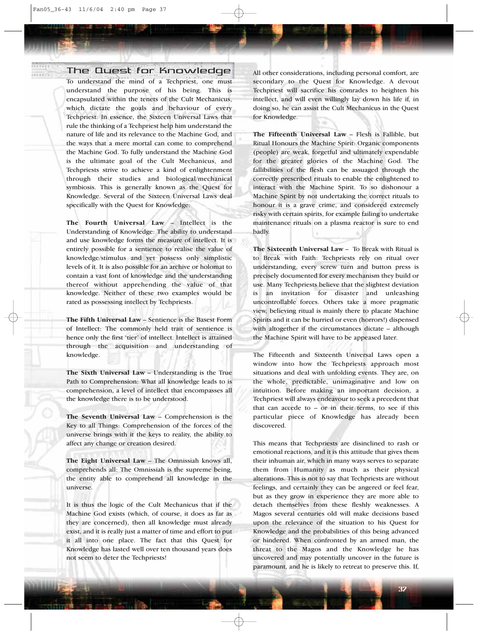## The Quest for Knowledge

To understand the mind of a Techpriest, one must understand the purpose of his being. This is encapsulated within the tenets of the Cult Mechanicus, which dictate the goals and behaviour of every Techpriest. In essence, the Sixteen Universal Laws that rule the thinking of a Techpriest help him understand the nature of life and its relevance to the Machine God, and the ways that a mere mortal can come to comprehend the Machine God. To fully understand the Machine God is the ultimate goal of the Cult Mechanicus, and Techpriests strive to achieve a kind of enlightenment through their studies and biological/mechanical symbiosis. This is generally known as the Quest for Knowledge. Several of the Sixteen Universal Laws deal specifically with the Quest for Knowledge:

**The Fourth Universal Law** – Intellect is the Understanding of Knowledge: The ability to understand and use knowledge forms the measure of intellect. It is entirely possible for a sentience to realise the value of knowledge/stimulus and yet possess only simplistic levels of it. It is also possible for an archive or holomat to contain a vast font of knowledge and the understanding thereof without apprehending the value of that knowledge. Neither of these two examples would be rated as possessing intellect by Techpriests.

**The Fifth Universal Law** – Sentience is the Basest Form of Intellect: The commonly held trait of sentience is hence only the first 'tier' of intellect. Intellect is attained through the acquisition and understanding of knowledge.

**The Sixth Universal Law** – Understanding is the True Path to Comprehension: What all knowledge leads to is comprehension, a level of intellect that encompasses all the knowledge there is to be understood.

**The Seventh Universal Law** – Comprehension is the Key to all Things: Comprehension of the forces of the universe brings with it the keys to reality, the ability to affect any change or creation desired.

**The Eight Universal Law** – The Omnissiah knows all, comprehends all: The Omnissiah is the supreme being, the entity able to comprehend all knowledge in the universe.

It is thus the logic of the Cult Mechanicus that if the Machine God exists (which, of course, it does as far as they are concerned), then all knowledge must already exist, and it is really just a matter of time and effort to put it all into one place. The fact that this Quest for Knowledge has lasted well over ten thousand years does not seem to deter the Techpriests!

All other considerations, including personal comfort, are secondary to the Quest for Knowledge. A devout Techpriest will sacrifice his comrades to heighten his intellect, and will even willingly lay down his life if, in doing so, he can assist the Cult Mechanicus in the Quest for Knowledge.

**The Fifteenth Universal Law** – Flesh is Fallible, but Ritual Honours the Machine Spirit: Organic components (people) are weak, forgetful and ultimately expendable for the greater glories of the Machine God. The fallibilities of the flesh can be assuaged through the correctly prescribed rituals to enable the enlightened to interact with the Machine Spirit. To so dishonour a Machine Spirit by not undertaking the correct rituals to honour it is a grave crime, and considered extremely risky with certain spirits, for example failing to undertake maintenance rituals on a plasma reactor is sure to end badly.

**The Sixteenth Universal Law** – To Break with Ritual is to Break with Faith: Techpriests rely on ritual over understanding, every screw turn and button press is precisely documented for every mechanism they build or use. Many Techpriests believe that the slightest deviation is an invitation for disaster and unleashing uncontrollable forces. Others take a more pragmatic view, believing ritual is mainly there to placate Machine Spirits and it can be hurried or even (horrors!) dispensed with altogether if the circumstances dictate – although the Machine Spirit will have to be appeased later.

The Fifteenth and Sixteenth Universal Laws open a window into how the Techpriests approach most situations and deal with unfolding events. They are, on the whole, predictable, unimaginative and low on intuition. Before making an important decision, a Techpriest will always endeavour to seek a precedent that that can accede to – or in their terms, to see if this particular piece of Knowledge has already been discovered.

This means that Techpriests are disinclined to rash or emotional reactions, and it is this attitude that gives them their inhuman air, which in many ways serves to separate them from Humanity as much as their physical alterations. This is not to say that Techpriests are without feelings, and certainly they can be angered or feel fear, but as they grow in experience they are more able to detach themselves from these fleshly weaknesses. A Magos several centuries old will make decisions based upon the relevance of the situation to his Quest for Knowledge and the probabilities of this being advanced or hindered. When confronted by an armed man, the threat to the Magos and the Knowledge he has uncovered and may potentially uncover in the future is paramount, and he is likely to retreat to preserve this. If,

37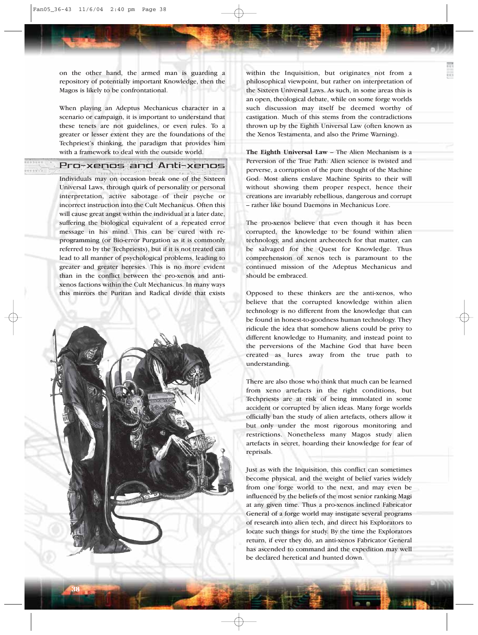on the other hand, the armed man is guarding a repository of potentially important Knowledge, then the Magos is likely to be confrontational.

When playing an Adeptus Mechanicus character in a scenario or campaign, it is important to understand that these tenets are not guidelines, or even rules. To a greater or lesser extent they are the foundations of the Techpriest's thinking, the paradigm that provides him with a framework to deal with the outside world.

## Pro-xenos and Anti-xenos

Individuals may on occasion break one of the Sixteen Universal Laws, through quirk of personality or personal interpretation, active sabotage of their psyche or incorrect instruction into the Cult Mechanicus. Often this will cause great angst within the individual at a later date, suffering the biological equivalent of a repeated error message in his mind. This can be cured with reprogramming (or Bio-error Purgation as it is commonly referred to by the Techpriests), but if it is not treated can lead to all manner of psychological problems, leading to greater and greater heresies. This is no more evident than in the conflict between the pro-xenos and antixenos factions within the Cult Mechanicus. In many ways this mirrors the Puritan and Radical divide that exists



within the Inquisition, but originates not from a philosophical viewpoint, but rather on interpretation of the Sixteen Universal Laws. As such, in some areas this is an open, theological debate, while on some forge worlds such discussion may itself be deemed worthy of castigation. Much of this stems from the contradictions thrown up by the Eighth Universal Law (often known as the Xenos Testamenta, and also the Prime Warning).

**The Eighth Universal Law** – The Alien Mechanism is a Perversion of the True Path: Alien science is twisted and perverse, a corruption of the pure thought of the Machine God. Most aliens enslave Machine Spirits to their will without showing them proper respect, hence their creations are invariably rebellious, dangerous and corrupt – rather like bound Daemons in Mechanicus Lore.

The pro-xenos believe that even though it has been corrupted, the knowledge to be found within alien technology, and ancient archeotech for that matter, can be salvaged for the Quest for Knowledge. Thus comprehension of xenos tech is paramount to the continued mission of the Adeptus Mechanicus and should be embraced.

Opposed to these thinkers are the anti-xenos, who believe that the corrupted knowledge within alien technology is no different from the knowledge that can be found in honest-to-goodness human technology. They ridicule the idea that somehow aliens could be privy to different knowledge to Humanity, and instead point to the perversions of the Machine God that have been created as lures away from the true path to understanding.

There are also those who think that much can be learned from xeno artefacts in the right conditions, but Techpriests are at risk of being immolated in some accident or corrupted by alien ideas. Many forge worlds officially ban the study of alien artefacts, others allow it but only under the most rigorous monitoring and restrictions. Nonetheless many Magos study alien artefacts in secret, hoarding their knowledge for fear of reprisals.

Just as with the Inquisition, this conflict can sometimes become physical, and the weight of belief varies widely from one forge world to the next, and may even be influenced by the beliefs of the most senior ranking Magi at any given time. Thus a pro-xenos inclined Fabricator General of a forge world may instigate several programs of research into alien tech, and direct his Explorators to locate such things for study. By the time the Explorators return, if ever they do, an anti-xenos Fabricator General has ascended to command and the expedition may well be declared heretical and hunted down.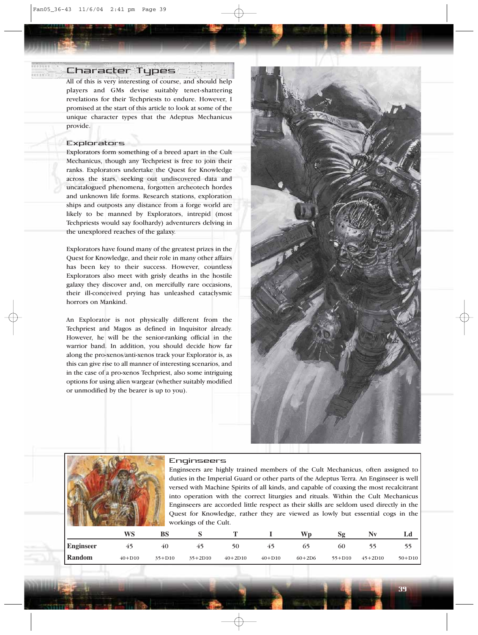## Character Types

All of this is very interesting of course, and should help players and GMs devise suitably tenet-shattering revelations for their Techpriests to endure. However, I promised at the start of this article to look at some of the unique character types that the Adeptus Mechanicus provide.

#### Explorators

Explorators form something of a breed apart in the Cult Mechanicus, though any Techpriest is free to join their ranks. Explorators undertake the Quest for Knowledge across the stars, seeking out undiscovered data and uncatalogued phenomena, forgotten archeotech hordes and unknown life forms. Research stations, exploration ships and outposts any distance from a forge world are likely to be manned by Explorators, intrepid (most Techpriests would say foolhardy) adventurers delving in the unexplored reaches of the galaxy.

Explorators have found many of the greatest prizes in the Quest for Knowledge, and their role in many other affairs has been key to their success. However, countless Explorators also meet with grisly deaths in the hostile galaxy they discover and, on mercifully rare occasions, their ill-conceived prying has unleashed cataclysmic horrors on Mankind.

An Explorator is not physically different from the Techpriest and Magos as defined in Inquisitor already. However, he will be the senior-ranking official in the warrior band. In addition, you should decide how far along the pro-xenos/anti-xenos track your Explorator is, as this can give rise to all manner of interesting scenarios, and in the case of a pro-xenos Techpriest, also some intriguing options for using alien wargear (whether suitably modified or unmodified by the bearer is up to you).





#### Enginseers

Enginseers are highly trained members of the Cult Mechanicus, often assigned to duties in the Imperial Guard or other parts of the Adeptus Terra. An Enginseer is well versed with Machine Spirits of all kinds, and capable of coaxing the most recalcitrant into operation with the correct liturgies and rituals. Within the Cult Mechanicus Enginseers are accorded little respect as their skills are seldom used directly in the Quest for Knowledge, rather they are viewed as lowly but essential cogs in the workings of the Cult.

39

|                  | WS          | BS         |           |           |            | Wn       | 59         | Nх        |            |
|------------------|-------------|------------|-----------|-----------|------------|----------|------------|-----------|------------|
| <b>Enginseer</b> | $4^{\circ}$ | 40         | 45        | 50        | 45         | כט       | 60         |           |            |
| Random           | $40 + D10$  | $35 + D10$ | $35+2D10$ | $40+2D10$ | $40 + D10$ | $60+2D6$ | $55 + D10$ | $45+2D10$ | $50 + D10$ |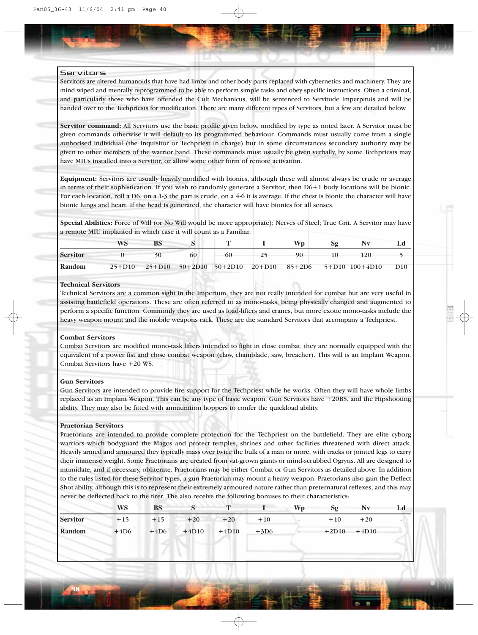## Servitors

Servitors are altered humanoids that have had limbs and other body parts replaced with cybernetics and machinery. They are mind wiped and mentally reprogrammed to be able to perform simple tasks and obey specific instructions. Often a criminal, and particularly those who have offended the Cult Mechanicus, will be sentenced to Servitude Imperpituis and will be handed over to the Techpriests for modification. There are many different types of Servitors, but a few are detailed below.

**Servitor command:** All Servitors use the basic profile given below, modified by type as noted later. A Servitor must be given commands otherwise it will default to its programmed behaviour. Commands must usually come from a single authorised individual (the Inquisitor or Techpriest in charge) but in some circumstances secondary authority may be given to other members of the warrior band. These commands must usually be given verbally, by some Techpriests may have MIUs installed into a Servitor, or allow some other form of remote activation.

**Equipment:** Servitors are usually heavily modified with bionics, although these will almost always be crude or average in terms of their sophistication. If you wish to randomly generate a Servitor, then D6+1 body locations will be bionic. For each location, roll a D6, on a 1-3 the part is crude, on a 4-6 it is average. If the chest is bionic the character will have bionic lungs and heart. If the head is generated, the character will have bionics for all senses.

**Special Abilities:** Force of Will (or No Will would be more appropriate); Nerves of Steel; True Grit. A Servitor may have a remote MIU implanted in which case it will count as a Familiar.

|                 | WS | <b>BS</b> |    |       | Wp.       |                                                            |     |
|-----------------|----|-----------|----|-------|-----------|------------------------------------------------------------|-----|
| <b>Servitor</b> |    | 30        | 60 | $-60$ | 90 10 120 |                                                            |     |
| Random          |    |           |    |       |           | 25+D10 25+D10 50+2D10 50+2D10 20+D10 85+2D6 5+D10 100+4D10 | D10 |

## **Technical Servitors**

Technical Servitors are a common sight in the Imperium, they are not really intended for combat but are very useful in assisting battlefield operations. These are often referred to as mono-tasks, being physically changed and augmented to perform a specific function. Commonly they are used as load-lifters and cranes, but more exotic mono-tasks include the heavy weapon mount and the mobile weapons rack. These are the standard Servitors that accompany a Techpriest.

## **Combat Servitors**

Combat Servitors are modified mono-task lifters intended to fight in close combat, they are normally equipped with the equivalent of a power fist and close combat weapon (claw, chainblade, saw, breacher). This will is an Implant Weapon. Combat Servitors have +20 WS.

## **Gun Servitors**

40

Gun Servitors are intended to provide fire support for the Techpriest while he works. Often they will have whole limbs replaced as an Implant Weapon. This can be any type of basic weapon. Gun Servitors have +20BS, and the Hipshooting ability. They may also be fitted with ammunition hoppers to confer the quickload ability.

#### **Praetorian Servitors**

Praetorians are intended to provide complete protection for the Techpriest on the battlefield. They are elite cyborg warriors which bodyguard the Magos and protect temples, shrines and other facilities threatened with direct attack. Heavily armed and armoured they typically mass over twice the bulk of a man or more, with tracks or jointed legs to carry their immense weight. Some Praetorians are created from vat-grown giants or mind-scrubbed Ogryns. All are designed to intimidate, and if necessary, obliterate. Praetorians may be either Combat or Gun Servitors as detailed above. In addition to the rules listed for these Servitor types, a gun Praetorian may mount a heavy weapon. Praetorians also gain the Deflect Shot ability, although this is to represent their extremely armoured nature rather than preternatural reflexes, and this may never be deflected back to the firer. The also receive the following bonuses to their characteristics:

|                 | <b>WS</b> | <b>BS</b> | $\mathbf{C}$<br>ມ | $\mathbf{r}$ |        | <b>Wp</b> | Sg      | Nv      |  |
|-----------------|-----------|-----------|-------------------|--------------|--------|-----------|---------|---------|--|
| <b>Servitor</b> | $+15$     | $+15$     | $+20$             | $+20$        | $+10$  |           | $+10$   | $+20$   |  |
| Random          | $+4D6$    | $+4D6$    | $+4D10$           | $+4D10$      | $+3D6$ |           | $+2D10$ | $+4D10$ |  |
|                 |           |           |                   |              |        |           |         |         |  |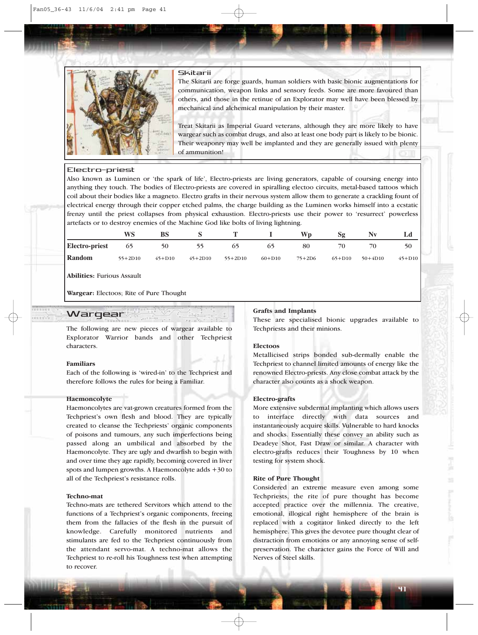

## Skitarii

The Skitarii are forge guards, human soldiers with basic bionic augmentations for communication, weapon links and sensory feeds. Some are more favoured than others, and those in the retinue of an Explorator may well have been blessed by mechanical and alchemical manipulation by their master.

Treat Skitarii as Imperial Guard veterans, although they are more likely to have wargear such as combat drugs, and also at least one body part is likely to be bionic. Their weaponry may well be implanted and they are generally issued with plenty of ammunition!

## Electro-priest

Also known as Luminen or 'the spark of life', Electro-priests are living generators, capable of coursing energy into anything they touch. The bodies of Electro-priests are covered in spiralling electoo circuits, metal-based tattoos which coil about their bodies like a magneto. Electro grafts in their nervous system allow them to generate a crackling fount of electrical energy through their copper etched palms, the charge building as the Luminen works himself into a ecstatic frenzy until the priest collapses from physical exhaustion. Electro-priests use their power to 'resurrect' powerless artefacts or to destroy enemies of the Machine God like bolts of living lightning.

|                | WS        |            |           |           |            | Wn.      | Sg         | Nv          |            |
|----------------|-----------|------------|-----------|-----------|------------|----------|------------|-------------|------------|
| Electro-priest | 65        | 50         | 55        | $\circ$   | რ          | 80       | 70         | 70          | 50         |
| Random         | $55+2D10$ | $45 + D10$ | $45+2D10$ | $55+2D10$ | $60 + D10$ | $75+2D6$ | $65 + D10$ | $50 + 4D10$ | $45 + D10$ |

**Abilities:** Furious Assault

**Wargear:** Electoos; Rite of Pure Thought

## **Wargear**

The following are new pieces of wargear available to Explorator Warrior bands and other Techpriest characters.

## **Familiars**

Each of the following is 'wired-in' to the Techpriest and therefore follows the rules for being a Familiar.

#### **Haemoncolyte**

Haemoncolytes are vat-grown creatures formed from the Techpriest's own flesh and blood. They are typically created to cleanse the Techpriests' organic components of poisons and tumours, any such imperfections being passed along an umbilical and absorbed by the Haemoncolyte. They are ugly and dwarfish to begin with and over time they age rapidly, becoming covered in liver spots and lumpen growths. A Haemoncolyte adds +30 to all of the Techpriest's resistance rolls.

#### **Techno-mat**

Techno-mats are tethered Servitors which attend to the functions of a Techpriest's organic components, freeing them from the fallacies of the flesh in the pursuit of knowledge. Carefully monitored nutrients and stimulants are fed to the Techpriest continuously from the attendant servo-mat. A techno-mat allows the Techpriest to re-roll his Toughness test when attempting to recover.

## **Grafts and Implants**

These are specialised bionic upgrades available to Techpriests and their minions.

## **Electoos**

Metallicised strips bonded sub-dermally enable the Techpriest to channel limited amounts of energy like the renowned Electro-priests. Any close combat attack by the character also counts as a shock weapon.

## **Electro-grafts**

More extensive subdermal implanting which allows users to interface directly with data sources and instantaneously acquire skills. Vulnerable to hard knocks and shocks. Essentially these convey an ability such as Deadeye Shot, Fast Draw or similar. A character with electro-grafts reduces their Toughness by 10 when testing for system shock.

## **Rite of Pure Thought**

Considered an extreme measure even among some Techpriests, the rite of pure thought has become accepted practice over the millennia. The creative, emotional, illogical right hemisphere of the brain is replaced with a cogitator linked directly to the left hemisphere. This gives the devotee pure thought clear of distraction from emotions or any annoying sense of selfpreservation. The character gains the Force of Will and Nerves of Steel skills.

41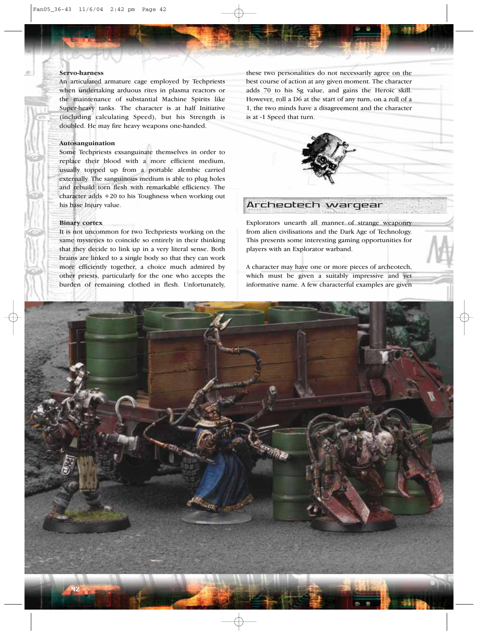## **Servo-harness**

An articulated armature cage employed by Techpriests when undertaking arduous rites in plasma reactors or the maintenance of substantial Machine Spirits like Super-heavy tanks. The character is at half Initiative (including calculating Speed), but his Strength is doubled. He may fire heavy weapons one-handed.

#### **Autosanguination**

Some Techpriests exsanguinate themselves in order to replace their blood with a more efficient medium, usually topped up from a portable alembic carried externally. The sanguinous medium is able to plug holes and rebuild torn flesh with remarkable efficiency. The character adds +20 to his Toughness when working out his base Injury value.

## **Binary cortex**

It is not uncommon for two Techpriests working on the same mysteries to coincide so entirely in their thinking that they decide to link up in a very literal sense. Both brains are linked to a single body so that they can work more efficiently together, a choice much admired by other priests, particularly for the one who accepts the burden of remaining clothed in flesh. Unfortunately,

these two personalities do not necessarily agree on the best course of action at any given moment. The character adds 70 to his Sg value, and gains the Heroic skill. However, roll a D6 at the start of any turn, on a roll of a 1, the two minds have a disagreement and the character is at -1 Speed that turn.



## Archeotech wargear

Explorators unearth all manner of strange weaponry from alien civilisations and the Dark Age of Technology. This presents some interesting gaming opportunities for players with an Explorator warband.

A character may have one or more pieces of archeotech, which must be given a suitably impressive and yet informative name. A few characterful examples are given